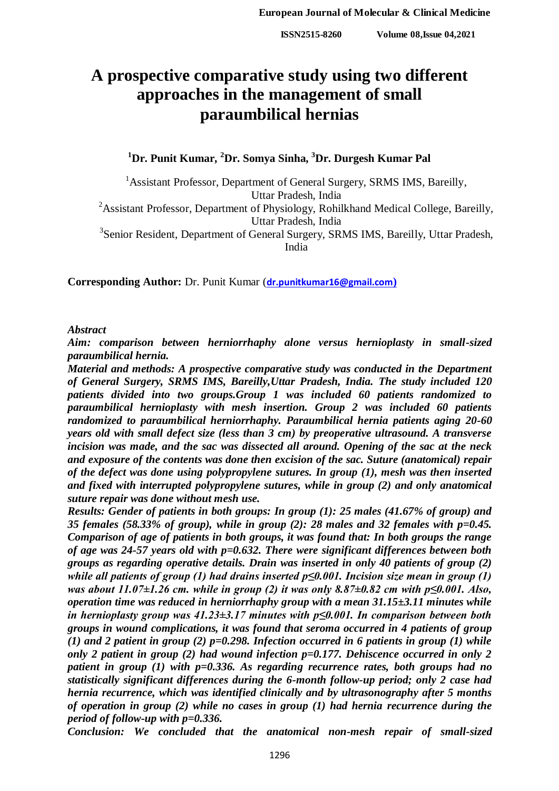**ISSN2515-8260 Volume 08,Issue 04,2021**

# **A prospective comparative study using two different approaches in the management of small paraumbilical hernias**

**<sup>1</sup>Dr. Punit Kumar, <sup>2</sup>Dr. Somya Sinha, <sup>3</sup>Dr. Durgesh Kumar Pal**

<sup>1</sup> Assistant Professor, Department of General Surgery, SRMS IMS, Bareilly, Uttar Pradesh, India

<sup>2</sup>Assistant Professor, Department of Physiology, Rohilkhand Medical College, Bareilly, Uttar Pradesh, India

<sup>3</sup> Senior Resident, Department of General Surgery, SRMS IMS, Bareilly, Uttar Pradesh, India

**Corresponding Author:** Dr. Punit Kumar (**[dr.punitkumar16@gmail.com](mailto:dr.punitkumar16@gmail.com))**

*Abstract*

*Aim: comparison between herniorrhaphy alone versus hernioplasty in small-sized paraumbilical hernia.* 

*Material and methods: A prospective comparative study was conducted in the Department of General Surgery, SRMS IMS, Bareilly,Uttar Pradesh, India. The study included 120 patients divided into two groups.Group 1 was included 60 patients randomized to paraumbilical hernioplasty with mesh insertion. Group 2 was included 60 patients randomized to paraumbilical herniorrhaphy. Paraumbilical hernia patients aging 20-60 years old with small defect size (less than 3 cm) by preoperative ultrasound. A transverse incision was made, and the sac was dissected all around. Opening of the sac at the neck and exposure of the contents was done then excision of the sac. Suture (anatomical) repair of the defect was done using polypropylene sutures. In group (1), mesh was then inserted and fixed with interrupted polypropylene sutures, while in group (2) and only anatomical suture repair was done without mesh use.* 

*Results: Gender of patients in both groups: In group (1): 25 males (41.67% of group) and 35 females (58.33% of group), while in group (2): 28 males and 32 females with p=0.45. Comparison of age of patients in both groups, it was found that: In both groups the range of age was 24-57 years old with p=0.632. There were significant differences between both groups as regarding operative details. Drain was inserted in only 40 patients of group (2) while all patients of group (1) had drains inserted p≤0.001. Incision size mean in group (1) was about 11.07±1.26 cm. while in group (2) it was only 8.87±0.82 cm with p≤0.001. Also, operation time was reduced in herniorrhaphy group with a mean 31.15±3.11 minutes while in hernioplasty group was 41.23±3.17 minutes with p≤0.001. In comparison between both groups in wound complications, it was found that seroma occurred in 4 patients of group (1) and 2 patient in group (2) p=0.298. Infection occurred in 6 patients in group (1) while only 2 patient in group (2) had wound infection p=0.177. Dehiscence occurred in only 2 patient in group (1) with p=0.336. As regarding recurrence rates, both groups had no statistically significant differences during the 6-month follow-up period; only 2 case had hernia recurrence, which was identified clinically and by ultrasonography after 5 months of operation in group (2) while no cases in group (1) had hernia recurrence during the period of follow-up with p=0.336.*

*Conclusion: We concluded that the anatomical non-mesh repair of small-sized*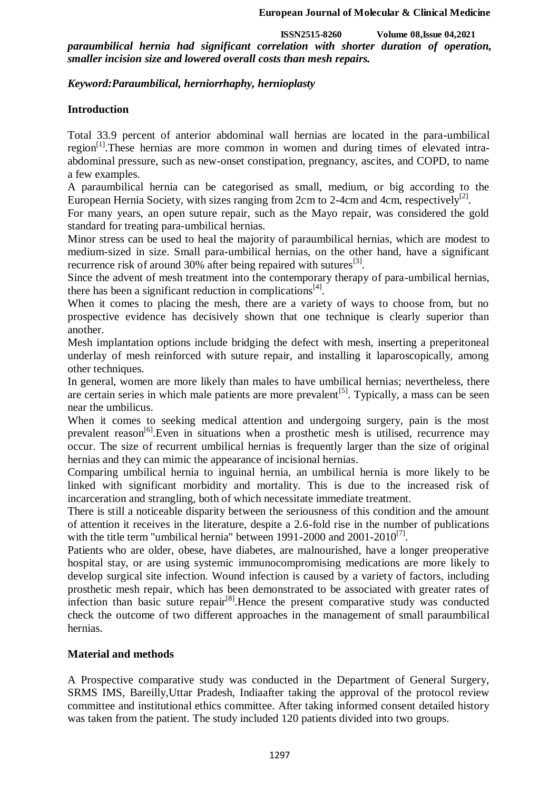**ISSN2515-8260 Volume 08,Issue 04,2021** *paraumbilical hernia had significant correlation with shorter duration of operation, smaller incision size and lowered overall costs than mesh repairs.*

# *Keyword:Paraumbilical, herniorrhaphy, hernioplasty*

## **Introduction**

Total 33.9 percent of anterior abdominal wall hernias are located in the para-umbilical region<sup>[1]</sup>.These hernias are more common in women and during times of elevated intraabdominal pressure, such as new-onset constipation, pregnancy, ascites, and COPD, to name a few examples.

A paraumbilical hernia can be categorised as small, medium, or big according to the European Hernia Society, with sizes ranging from 2cm to 2-4cm and 4cm, respectively<sup>[2]</sup>.

For many years, an open suture repair, such as the Mayo repair, was considered the gold standard for treating para-umbilical hernias.

Minor stress can be used to heal the majority of paraumbilical hernias, which are modest to medium-sized in size. Small para-umbilical hernias, on the other hand, have a significant recurrence risk of around  $30\%$  after being repaired with sutures<sup>[3]</sup>.

Since the advent of mesh treatment into the contemporary therapy of para-umbilical hernias, there has been a significant reduction in complications $^{[4]}$ .

When it comes to placing the mesh, there are a variety of ways to choose from, but no prospective evidence has decisively shown that one technique is clearly superior than another.

Mesh implantation options include bridging the defect with mesh, inserting a preperitoneal underlay of mesh reinforced with suture repair, and installing it laparoscopically, among other techniques.

In general, women are more likely than males to have umbilical hernias; nevertheless, there are certain series in which male patients are more prevalent<sup>[5]</sup>. Typically, a mass can be seen near the umbilicus.

When it comes to seeking medical attention and undergoing surgery, pain is the most prevalent reason<sup>[6]</sup>. Even in situations when a prosthetic mesh is utilised, recurrence may occur. The size of recurrent umbilical hernias is frequently larger than the size of original hernias and they can mimic the appearance of incisional hernias.

Comparing umbilical hernia to inguinal hernia, an umbilical hernia is more likely to be linked with significant morbidity and mortality. This is due to the increased risk of incarceration and strangling, both of which necessitate immediate treatment.

There is still a noticeable disparity between the seriousness of this condition and the amount of attention it receives in the literature, despite a 2.6-fold rise in the number of publications with the title term "umbilical hernia" between 1991-2000 and  $2001-2010^{[7]}$ .

Patients who are older, obese, have diabetes, are malnourished, have a longer preoperative hospital stay, or are using systemic immunocompromising medications are more likely to develop surgical site infection. Wound infection is caused by a variety of factors, including prosthetic mesh repair, which has been demonstrated to be associated with greater rates of infection than basic suture repair $[8]$ . Hence the present comparative study was conducted check the outcome of two different approaches in the management of small paraumbilical hernias.

#### **Material and methods**

A Prospective comparative study was conducted in the Department of General Surgery, SRMS IMS, Bareilly,Uttar Pradesh, Indiaafter taking the approval of the protocol review committee and institutional ethics committee. After taking informed consent detailed history was taken from the patient. The study included 120 patients divided into two groups.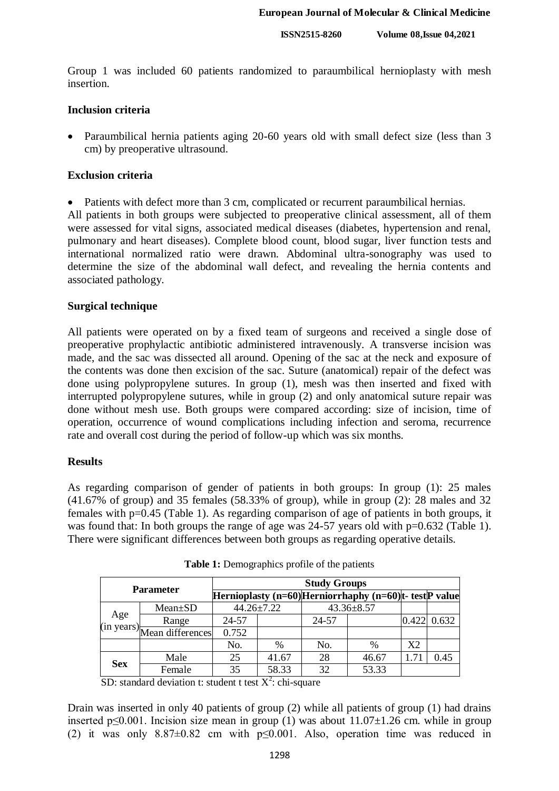**ISSN2515-8260 Volume 08,Issue 04,2021**

Group 1 was included 60 patients randomized to paraumbilical hernioplasty with mesh insertion.

## **Inclusion criteria**

• Paraumbilical hernia patients aging 20-60 years old with small defect size (less than 3 cm) by preoperative ultrasound.

# **Exclusion criteria**

• Patients with defect more than 3 cm, complicated or recurrent paraumbilical hernias.

All patients in both groups were subjected to preoperative clinical assessment, all of them were assessed for vital signs, associated medical diseases (diabetes, hypertension and renal, pulmonary and heart diseases). Complete blood count, blood sugar, liver function tests and international normalized ratio were drawn. Abdominal ultra-sonography was used to determine the size of the abdominal wall defect, and revealing the hernia contents and associated pathology.

# **Surgical technique**

All patients were operated on by a fixed team of surgeons and received a single dose of preoperative prophylactic antibiotic administered intravenously. A transverse incision was made, and the sac was dissected all around. Opening of the sac at the neck and exposure of the contents was done then excision of the sac. Suture (anatomical) repair of the defect was done using polypropylene sutures. In group (1), mesh was then inserted and fixed with interrupted polypropylene sutures, while in group (2) and only anatomical suture repair was done without mesh use. Both groups were compared according: size of incision, time of operation, occurrence of wound complications including infection and seroma, recurrence rate and overall cost during the period of follow-up which was six months.

# **Results**

As regarding comparison of gender of patients in both groups: In group (1): 25 males (41.67% of group) and 35 females (58.33% of group), while in group (2): 28 males and 32 females with p=0.45 (Table 1). As regarding comparison of age of patients in both groups, it was found that: In both groups the range of age was 24-57 years old with  $p=0.632$  (Table 1). There were significant differences between both groups as regarding operative details.

| <b>Parameter</b> |                             | <b>Study Groups</b> |               |                  |                                                             |    |                    |  |
|------------------|-----------------------------|---------------------|---------------|------------------|-------------------------------------------------------------|----|--------------------|--|
|                  |                             |                     |               |                  | Hernioplasty $(n=60)$ Herniorrhaphy $(n=60)$ t- testP value |    |                    |  |
| Age              | $Mean \pm SD$               | $44.26 \pm 7.22$    |               | $43.36 \pm 8.57$ |                                                             |    |                    |  |
|                  | Range                       | 24-57               |               | 24-57            |                                                             |    | $0.422 \mid 0.632$ |  |
|                  | (in years) Mean differences | 0.752               |               |                  |                                                             |    |                    |  |
|                  |                             | No.                 | $\frac{0}{0}$ | No.              | %                                                           | X2 |                    |  |
| <b>Sex</b>       | Male                        | 25                  | 41.67         | 28               | 46.67                                                       |    | 0.45               |  |
|                  | Female                      | 35                  | 58.33         | 32               | 53.33                                                       |    |                    |  |

**Table 1:** Demographics profile of the patients

SD: standard deviation t: student t test  $X^2$ : chi-square

Drain was inserted in only 40 patients of group (2) while all patients of group (1) had drains inserted p≤0.001. Incision size mean in group (1) was about  $11.07\pm1.26$  cm. while in group (2) it was only  $8.87\pm0.82$  cm with  $p\leq0.001$ . Also, operation time was reduced in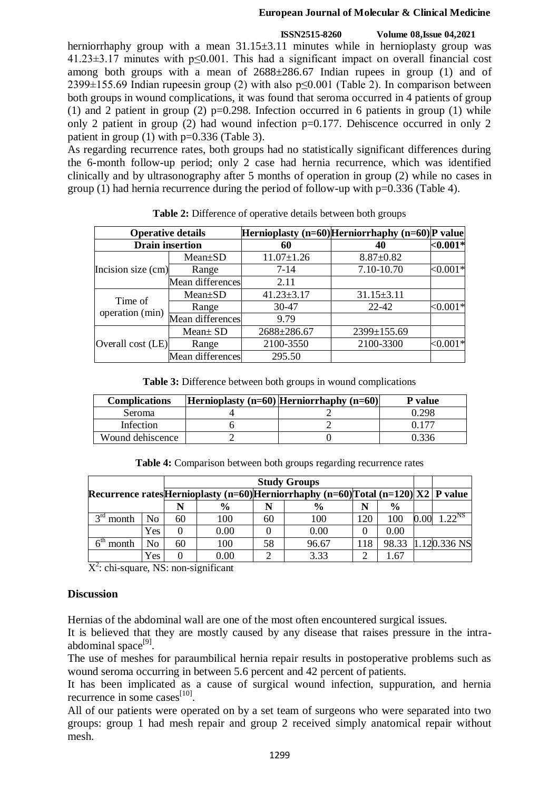#### **European Journal of Molecular & Clinical Medicine**

#### **ISSN2515-8260 Volume 08,Issue 04,2021**

herniorrhaphy group with a mean  $31.15\pm3.11$  minutes while in hernioplasty group was 41.23±3.17 minutes with p≤0.001. This had a significant impact on overall financial cost among both groups with a mean of  $2688\pm 286.67$  Indian rupees in group (1) and of 2399 $\pm$ 155.69 Indian rupeesin group (2) with also p $\leq$ 0.001 (Table 2). In comparison between both groups in wound complications, it was found that seroma occurred in 4 patients of group (1) and 2 patient in group (2)  $p=0.298$ . Infection occurred in 6 patients in group (1) while only 2 patient in group (2) had wound infection  $p=0.177$ . Dehiscence occurred in only 2 patient in group  $(1)$  with p=0.336 (Table 3).

As regarding recurrence rates, both groups had no statistically significant differences during the 6-month follow-up period; only 2 case had hernia recurrence, which was identified clinically and by ultrasonography after 5 months of operation in group (2) while no cases in group (1) had hernia recurrence during the period of follow-up with p=0.336 (Table 4).

|                    | <b>Operative details</b> |                  | Hernioplasty $(n=60)$ Herniorrhaphy $(n=60)$ P value |             |  |
|--------------------|--------------------------|------------------|------------------------------------------------------|-------------|--|
|                    | <b>Drain insertion</b>   | 60               | 40                                                   | $<$ 0.001*  |  |
| Incision size (cm) | $Mean \pm SD$            | $11.07 \pm 1.26$ | $8.87 \pm 0.82$                                      |             |  |
|                    | Range                    | $7 - 14$         | 7.10-10.70                                           | $<,0.001*$  |  |
|                    | Mean differences         | 2.11             |                                                      |             |  |
|                    | $Mean \pm SD$            | $41.23 \pm 3.17$ | $31.15 \pm 3.11$                                     |             |  |
| Time of            | Range                    | $30-47$          | 22-42                                                | ${<}0.001*$ |  |
| operation (min)    | Mean differences         | 9.79             |                                                      |             |  |
|                    | $Mean \pm SD$            | 2688±286.67      | 2399±155.69                                          |             |  |
| Overall cost (LE)  | Range                    | 2100-3550        | 2100-3300                                            | ${<}0.001*$ |  |
|                    | Mean differences         | 295.50           |                                                      |             |  |

**Table 2:** Difference of operative details between both groups

**Table 3:** Difference between both groups in wound complications

| <b>Complications</b> | Hernioplasty $(n=60)$ Herniorrhaphy $(n=60)$ | P value |
|----------------------|----------------------------------------------|---------|
| Seroma               |                                              | 0.298   |
| Infection            |                                              |         |
| Wound dehiscence     |                                              | ) 336   |

**Table 4:** Comparison between both groups regarding recurrence rates

|                                     |     |    |               |    | <b>Study Groups</b>                                                                  |     |               |                    |                |
|-------------------------------------|-----|----|---------------|----|--------------------------------------------------------------------------------------|-----|---------------|--------------------|----------------|
|                                     |     |    |               |    | Recurrence rates Hernioplasty (n=60) Herniorrhaphy (n=60) Total (n=120) $X2$ P value |     |               |                    |                |
|                                     |     |    | $\frac{6}{9}$ |    | $\frac{6}{9}$                                                                        | N   | $\frac{6}{9}$ |                    |                |
| $2^{\text{rd}}$<br>month            | No  | 60 | 100           | 60 | 100                                                                                  | 120 | 100           | $.00^{\circ}$<br>Ю | $1.22^{NS}$    |
|                                     | Yes |    | 0.00          |    | 0.00                                                                                 |     | 0.00          |                    |                |
| $\mathsf{K}^{\mathsf{tn}}$<br>month | No  | 60 | 100           | 58 | 96.67                                                                                | 118 | 98.33         |                    | $1.120.336$ NS |
|                                     | Yes |    | $0.00\,$      |    | 3.33                                                                                 | ◠   | . .67         |                    |                |

 $X^2$ : chi-square, NS: non-significant

# **Discussion**

Hernias of the abdominal wall are one of the most often encountered surgical issues.

It is believed that they are mostly caused by any disease that raises pressure in the intraabdominal space<sup>[9]</sup>.

The use of meshes for paraumbilical hernia repair results in postoperative problems such as wound seroma occurring in between 5.6 percent and 42 percent of patients.

It has been implicated as a cause of surgical wound infection, suppuration, and hernia recurrence in some cases $^{[10]}$ .

All of our patients were operated on by a set team of surgeons who were separated into two groups: group 1 had mesh repair and group 2 received simply anatomical repair without mesh.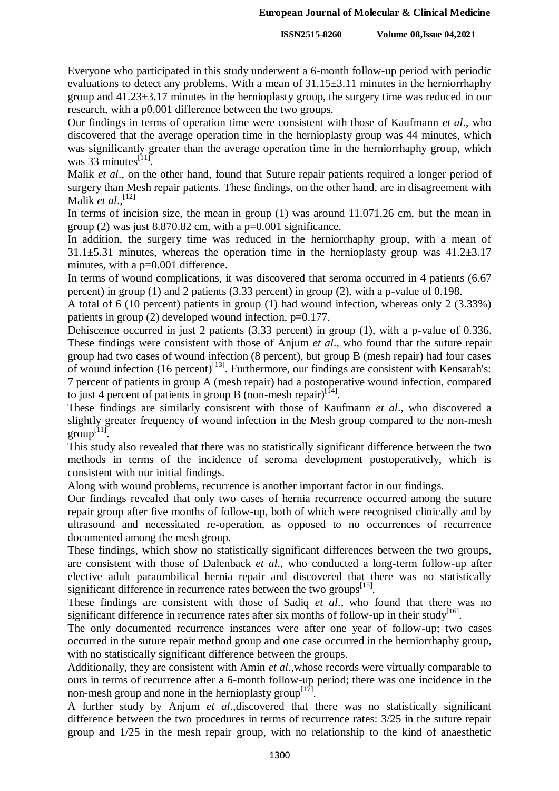**ISSN2515-8260 Volume 08,Issue 04,2021**

Everyone who participated in this study underwent a 6-month follow-up period with periodic evaluations to detect any problems. With a mean of 31.15±3.11 minutes in the herniorrhaphy group and 41.23±3.17 minutes in the hernioplasty group, the surgery time was reduced in our research, with a p0.001 difference between the two groups.

Our findings in terms of operation time were consistent with those of Kaufmann *et al*., who discovered that the average operation time in the hernioplasty group was 44 minutes, which was significantly greater than the average operation time in the herniorrhaphy group, which was  $33$  minutes<sup>[11]</sup>.

Malik *et al*., on the other hand, found that Suture repair patients required a longer period of surgery than Mesh repair patients. These findings, on the other hand, are in disagreement with Malik *et al*., [12]

In terms of incision size, the mean in group (1) was around 11.071.26 cm, but the mean in group (2) was just  $8.870.82$  cm, with a  $p=0.001$  significance.

In addition, the surgery time was reduced in the herniorrhaphy group, with a mean of  $31.1\pm5.31$  minutes, whereas the operation time in the hernioplasty group was  $41.2\pm3.17$ minutes, with a p=0.001 difference.

In terms of wound complications, it was discovered that seroma occurred in 4 patients (6.67 percent) in group (1) and 2 patients (3.33 percent) in group (2), with a p-value of 0.198.

A total of 6 (10 percent) patients in group (1) had wound infection, whereas only 2 (3.33%) patients in group (2) developed wound infection, p=0.177.

Dehiscence occurred in just 2 patients (3.33 percent) in group (1), with a p-value of 0.336. These findings were consistent with those of Anjum *et al*., who found that the suture repair group had two cases of wound infection (8 percent), but group B (mesh repair) had four cases of wound infection (16 percent)<sup>[13]</sup>. Furthermore, our findings are consistent with Kensarah's: 7 percent of patients in group A (mesh repair) had a postoperative wound infection, compared to just 4 percent of patients in group B (non-mesh repair)<sup>[14]</sup>.

These findings are similarly consistent with those of Kaufmann *et al*., who discovered a slightly greater frequency of wound infection in the Mesh group compared to the non-mesh  $group^{[11]}$ .

This study also revealed that there was no statistically significant difference between the two methods in terms of the incidence of seroma development postoperatively, which is consistent with our initial findings.

Along with wound problems, recurrence is another important factor in our findings.

Our findings revealed that only two cases of hernia recurrence occurred among the suture repair group after five months of follow-up, both of which were recognised clinically and by ultrasound and necessitated re-operation, as opposed to no occurrences of recurrence documented among the mesh group.

These findings, which show no statistically significant differences between the two groups, are consistent with those of Dalenback *et al*., who conducted a long-term follow-up after elective adult paraumbilical hernia repair and discovered that there was no statistically significant difference in recurrence rates between the two groups<sup>[15]</sup>.

These findings are consistent with those of Sadiq *et al*., who found that there was no significant difference in recurrence rates after six months of follow-up in their study<sup>[16]</sup>.

The only documented recurrence instances were after one year of follow-up; two cases occurred in the suture repair method group and one case occurred in the herniorrhaphy group, with no statistically significant difference between the groups.

Additionally, they are consistent with Amin *et al*.,whose records were virtually comparable to ours in terms of recurrence after a 6-month follow-up period; there was one incidence in the non-mesh group and none in the hernioplasty group<sup>[17]</sup>.

A further study by Anjum *et al*.,discovered that there was no statistically significant difference between the two procedures in terms of recurrence rates: 3/25 in the suture repair group and 1/25 in the mesh repair group, with no relationship to the kind of anaesthetic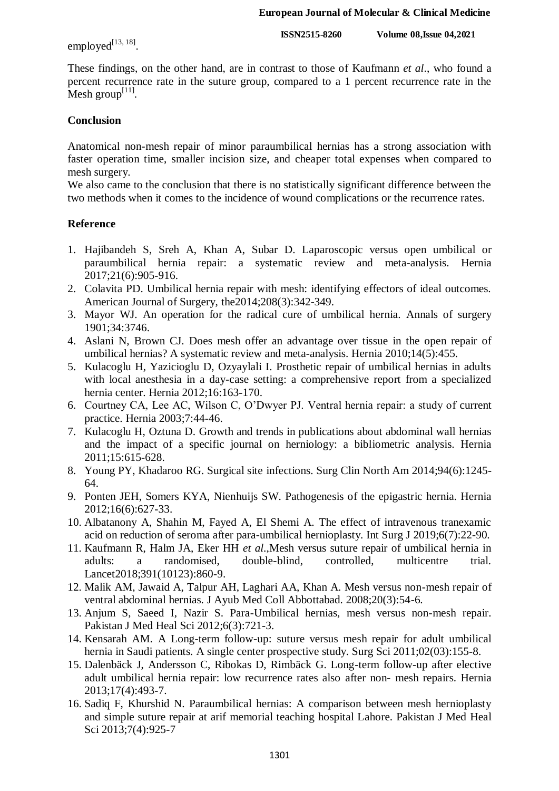employed $^{[13, 18]}$ .

**ISSN2515-8260 Volume 08,Issue 04,2021**

These findings, on the other hand, are in contrast to those of Kaufmann *et al*., who found a percent recurrence rate in the suture group, compared to a 1 percent recurrence rate in the Mesh group $^{[11]}$ .

# **Conclusion**

Anatomical non-mesh repair of minor paraumbilical hernias has a strong association with faster operation time, smaller incision size, and cheaper total expenses when compared to mesh surgery.

We also came to the conclusion that there is no statistically significant difference between the two methods when it comes to the incidence of wound complications or the recurrence rates.

# **Reference**

- 1. Hajibandeh S, Sreh A, Khan A, Subar D. Laparoscopic versus open umbilical or paraumbilical hernia repair: a systematic review and meta-analysis. Hernia 2017;21(6):905-916.
- 2. Colavita PD. Umbilical hernia repair with mesh: identifying effectors of ideal outcomes. American Journal of Surgery, the2014;208(3):342-349.
- 3. Mayor WJ. An operation for the radical cure of umbilical hernia. Annals of surgery 1901;34:3746.
- 4. Aslani N, Brown CJ. Does mesh offer an advantage over tissue in the open repair of umbilical hernias? A systematic review and meta-analysis. Hernia 2010;14(5):455.
- 5. Kulacoglu H, Yazicioglu D, Ozyaylali I. Prosthetic repair of umbilical hernias in adults with local anesthesia in a day-case setting: a comprehensive report from a specialized hernia center. Hernia 2012;16:163-170.
- 6. Courtney CA, Lee AC, Wilson C, O'Dwyer PJ. Ventral hernia repair: a study of current practice. Hernia 2003;7:44-46.
- 7. Kulacoglu H, Oztuna D. Growth and trends in publications about abdominal wall hernias and the impact of a specific journal on herniology: a bibliometric analysis. Hernia 2011;15:615-628.
- 8. Young PY, Khadaroo RG. Surgical site infections. Surg Clin North Am 2014;94(6):1245- 64.
- 9. Ponten JEH, Somers KYA, Nienhuijs SW. Pathogenesis of the epigastric hernia. Hernia 2012;16(6):627-33.
- 10. Albatanony A, Shahin M, Fayed A, El Shemi A. The effect of intravenous tranexamic acid on reduction of seroma after para-umbilical hernioplasty. Int Surg J 2019;6(7):22-90.
- 11. Kaufmann R, Halm JA, Eker HH *et al*.,Mesh versus suture repair of umbilical hernia in adults: a randomised, double-blind, controlled, multicentre trial. Lancet2018;391(10123):860-9.
- 12. Malik AM, Jawaid A, Talpur AH, Laghari AA, Khan A. Mesh versus non-mesh repair of ventral abdominal hernias. J Ayub Med Coll Abbottabad. 2008;20(3):54-6.
- 13. Anjum S, Saeed I, Nazir S. Para-Umbilical hernias, mesh versus non-mesh repair. Pakistan J Med Heal Sci 2012;6(3):721-3.
- 14. Kensarah AM. A Long-term follow-up: suture versus mesh repair for adult umbilical hernia in Saudi patients. A single center prospective study. Surg Sci 2011;02(03):155-8.
- 15. Dalenbäck J, Andersson C, Ribokas D, Rimbäck G. Long-term follow-up after elective adult umbilical hernia repair: low recurrence rates also after non- mesh repairs. Hernia 2013;17(4):493-7.
- 16. Sadiq F, Khurshid N. Paraumbilical hernias: A comparison between mesh hernioplasty and simple suture repair at arif memorial teaching hospital Lahore. Pakistan J Med Heal Sci 2013;7(4):925-7